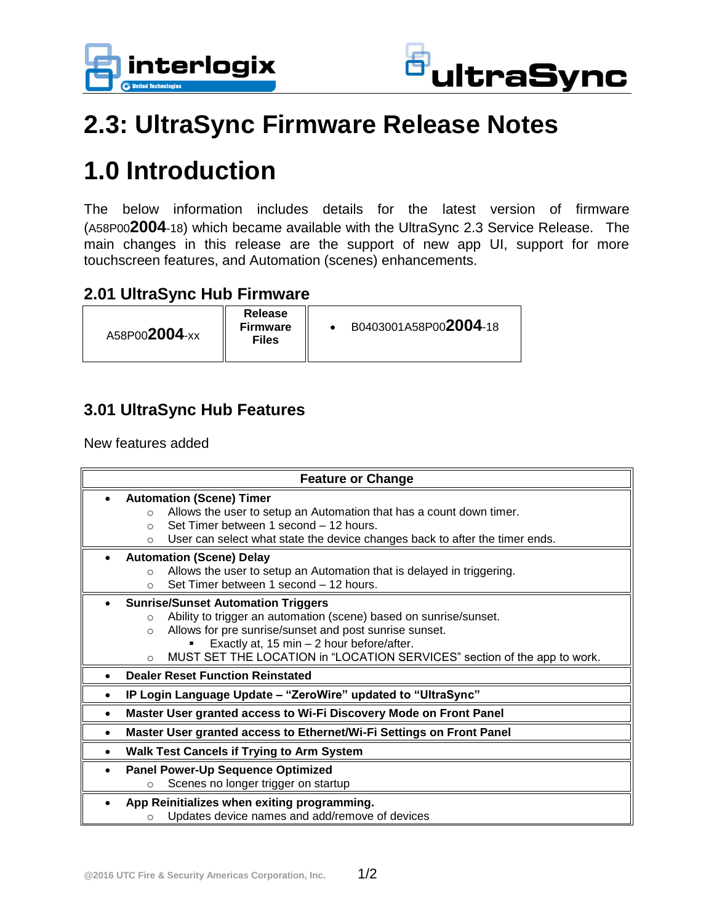



## **2.3: UltraSync Firmware Release Notes**

# **1.0 Introduction**

The below information includes details for the latest version of firmware (A58P00**2004**-18) which became available with the UltraSync 2.3 Service Release. The main changes in this release are the support of new app UI, support for more touchscreen features, and Automation (scenes) enhancements.

#### **2.01 UltraSync Hub Firmware**

| A58P002004-xx | <b>Release</b><br><b>Firmware</b><br><b>Files</b> | B0403001A58P002004-18 |
|---------------|---------------------------------------------------|-----------------------|

### **3.01 UltraSync Hub Features**

New features added

| <b>Feature or Change</b>                                                                                  |                                                                                                                                                                                                                                                                                                                                    |  |  |  |  |
|-----------------------------------------------------------------------------------------------------------|------------------------------------------------------------------------------------------------------------------------------------------------------------------------------------------------------------------------------------------------------------------------------------------------------------------------------------|--|--|--|--|
|                                                                                                           | <b>Automation (Scene) Timer</b><br>Allows the user to setup an Automation that has a count down timer.<br>$\circ$<br>Set Timer between 1 second - 12 hours.<br>$\circ$<br>User can select what state the device changes back to after the timer ends.<br>$\circ$                                                                   |  |  |  |  |
|                                                                                                           | <b>Automation (Scene) Delay</b><br>Allows the user to setup an Automation that is delayed in triggering.<br>$\circ$<br>Set Timer between 1 second - 12 hours.<br>$\Omega$                                                                                                                                                          |  |  |  |  |
|                                                                                                           | <b>Sunrise/Sunset Automation Triggers</b><br>Ability to trigger an automation (scene) based on sunrise/sunset.<br>$\circ$<br>Allows for pre sunrise/sunset and post sunrise sunset.<br>$\circ$<br>Exactly at, 15 min - 2 hour before/after.<br>MUST SET THE LOCATION in "LOCATION SERVICES" section of the app to work.<br>$\circ$ |  |  |  |  |
|                                                                                                           | <b>Dealer Reset Function Reinstated</b>                                                                                                                                                                                                                                                                                            |  |  |  |  |
| IP Login Language Update - "ZeroWire" updated to "UltraSync"                                              |                                                                                                                                                                                                                                                                                                                                    |  |  |  |  |
| Master User granted access to Wi-Fi Discovery Mode on Front Panel                                         |                                                                                                                                                                                                                                                                                                                                    |  |  |  |  |
|                                                                                                           | Master User granted access to Ethernet/Wi-Fi Settings on Front Panel                                                                                                                                                                                                                                                               |  |  |  |  |
| <b>Walk Test Cancels if Trying to Arm System</b>                                                          |                                                                                                                                                                                                                                                                                                                                    |  |  |  |  |
| <b>Panel Power-Up Sequence Optimized</b><br>Scenes no longer trigger on startup<br>$\circ$                |                                                                                                                                                                                                                                                                                                                                    |  |  |  |  |
| App Reinitializes when exiting programming.<br>Updates device names and add/remove of devices<br>$\Omega$ |                                                                                                                                                                                                                                                                                                                                    |  |  |  |  |